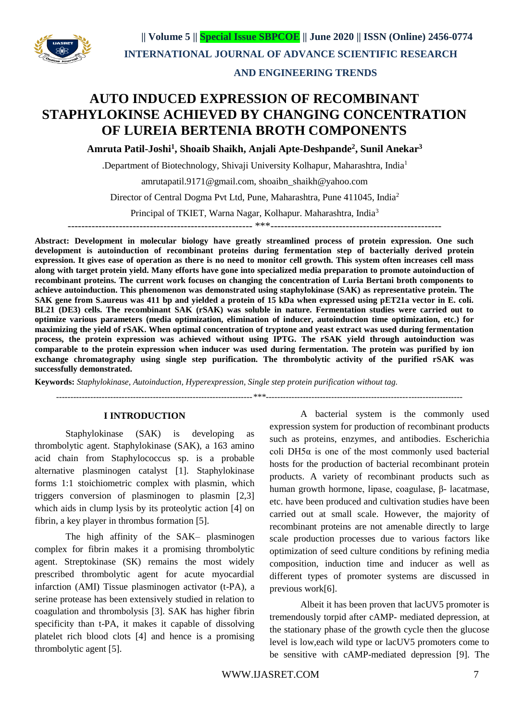

 **|| Volume 5 || Special Issue SBPCOE || June 2020 || ISSN (Online) 2456-0774 INTERNATIONAL JOURNAL OF ADVANCE SCIENTIFIC RESEARCH** 

## **AND ENGINEERING TRENDS**

# **AUTO INDUCED EXPRESSION OF RECOMBINANT STAPHYLOKINSE ACHIEVED BY CHANGING CONCENTRATION OF LUREIA BERTENIA BROTH COMPONENTS**

**Amruta Patil-Joshi<sup>1</sup> , Shoaib Shaikh, Anjali Apte-Deshpande<sup>2</sup> , Sunil Anekar<sup>3</sup>**

.Department of Biotechnology, Shivaji University Kolhapur, Maharashtra, India<sup>1</sup>

amrutapatil.9171@gmail.com, shoaibn\_shaikh@yahoo.com

Director of Central Dogma Pvt Ltd, Pune, Maharashtra, Pune 411045, India<sup>2</sup>

Principal of TKIET, Warna Nagar, Kolhapur. Maharashtra, India<sup>3</sup>

------------------------------------------------------ \*\*\*--------------------------------------------------

**Abstract: Development in molecular biology have greatly streamlined process of protein expression. One such development is autoinduction of recombinant proteins during fermentation step of bacterially derived protein expression. It gives ease of operation as there is no need to monitor cell growth. This system often increases cell mass along with target protein yield. Many efforts have gone into specialized media preparation to promote autoinduction of recombinant proteins. The current work focuses on changing the concentration of Luria Bertani broth components to achieve autoinduction. This phenomenon was demonstrated using staphylokinase (SAK) as representative protein. The SAK gene from S.aureus was 411 bp and yielded a protein of 15 kDa when expressed using pET21a vector in E. coli. BL21 (DE3) cells. The recombinant SAK (rSAK) was soluble in nature. Fermentation studies were carried out to optimize various parameters (media optimization, elimination of inducer, autoinduction time optimization, etc.) for maximizing the yield of rSAK. When optimal concentration of tryptone and yeast extract was used during fermentation process, the protein expression was achieved without using IPTG. The rSAK yield through autoinduction was comparable to the protein expression when inducer was used during fermentation. The protein was purified by ion exchange chromatography using single step purification. The thrombolytic activity of the purified rSAK was successfully demonstrated.**

**Keywords:** *Staphylokinase, Autoinduction, Hyperexpression, Single step protein purification without tag.*

 *---------------------------------------------------------------------\*\*\*---------------------------------------------------------------------*

#### **I INTRODUCTION**

Staphylokinase (SAK) is developing as thrombolytic agent. Staphylokinase (SAK), a 163 amino acid chain from Staphylococcus sp. is a probable alternative plasminogen catalyst [1]. Staphylokinase forms 1:1 stoichiometric complex with plasmin, which triggers conversion of plasminogen to plasmin [2,3] which aids in clump lysis by its proteolytic action [4] on fibrin, a key player in thrombus formation [5].

The high affinity of the SAK– plasminogen complex for fibrin makes it a promising thrombolytic agent. Streptokinase (SK) remains the most widely prescribed thrombolytic agent for acute myocardial infarction (AMI) Tissue plasminogen activator (t-PA), a serine protease has been extensively studied in relation to coagulation and thrombolysis [3]. SAK has higher fibrin specificity than t-PA, it makes it capable of dissolving platelet rich blood clots [4] and hence is a promising thrombolytic agent [5].

A bacterial system is the commonly used expression system for production of recombinant products such as proteins, enzymes, and antibodies. Escherichia coli DH5 $\alpha$  is one of the most commonly used bacterial hosts for the production of bacterial recombinant protein products. A variety of recombinant products such as human growth hormone, lipase, coagulase, β- lacatmase, etc. have been produced and cultivation studies have been carried out at small scale. However, the majority of recombinant proteins are not amenable directly to large scale production processes due to various factors like optimization of seed culture conditions by refining media composition, induction time and inducer as well as different types of promoter systems are discussed in previous work[6].

Albeit it has been proven that lacUV5 promoter is tremendously torpid after cAMP- mediated depression, at the stationary phase of the growth cycle then the glucose level is low,each wild type or lacUV5 promoters come to be sensitive with cAMP-mediated depression [9]. The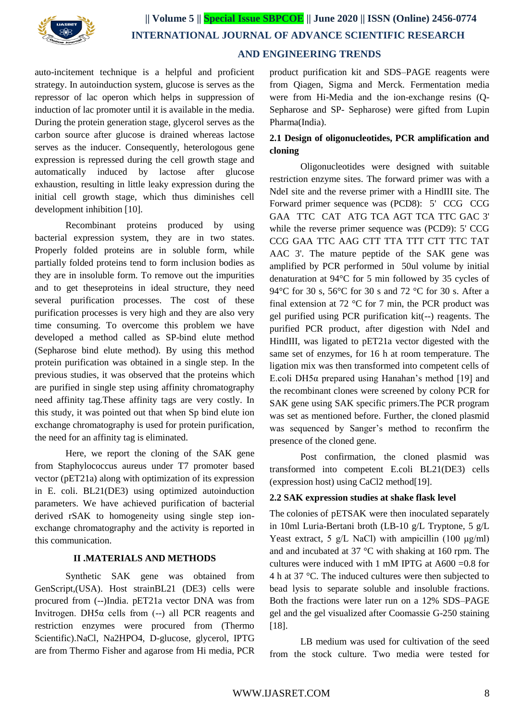

## **AND ENGINEERING TRENDS**

auto-incitement technique is a helpful and proficient strategy. In autoinduction system, glucose is serves as the repressor of lac operon which helps in suppression of induction of lac promoter until it is available in the media. During the protein generation stage, glycerol serves as the carbon source after glucose is drained whereas lactose serves as the inducer. Consequently, heterologous gene expression is repressed during the cell growth stage and automatically induced by lactose after glucose exhaustion, resulting in little leaky expression during the initial cell growth stage, which thus diminishes cell development inhibition [10].

Recombinant proteins produced by using bacterial expression system, they are in two states. Properly folded proteins are in soluble form, while partially folded proteins tend to form inclusion bodies as they are in insoluble form. To remove out the impurities and to get theseproteins in ideal structure, they need several purification processes. The cost of these purification processes is very high and they are also very time consuming. To overcome this problem we have developed a method called as SP-bind elute method (Sepharose bind elute method). By using this method protein purification was obtained in a single step. In the previous studies, it was observed that the proteins which are purified in single step using affinity chromatography need affinity tag.These affinity tags are very costly. In this study, it was pointed out that when Sp bind elute ion exchange chromatography is used for protein purification, the need for an affinity tag is eliminated.

Here, we report the cloning of the SAK gene from Staphylococcus aureus under T7 promoter based vector (pET21a) along with optimization of its expression in E. coli. BL21(DE3) using optimized autoinduction parameters. We have achieved purification of bacterial derived rSAK to homogeneity using single step ionexchange chromatography and the activity is reported in this communication.

## **II .MATERIALS AND METHODS**

Synthetic SAK gene was obtained from GenScript,(USA). Host strainBL21 (DE3) cells were procured from (--)India. pET21a vector DNA was from Invitrogen. DH5α cells from (--) all PCR reagents and restriction enzymes were procured from (Thermo Scientific).NaCl, Na2HPO4, D-glucose, glycerol, IPTG are from Thermo Fisher and agarose from Hi media, PCR product purification kit and SDS–PAGE reagents were from Qiagen, Sigma and Merck. Fermentation media were from Hi-Media and the ion-exchange resins (Q-Sepharose and SP- Sepharose) were gifted from Lupin Pharma(India).

# **2.1 Design of oligonucleotides, PCR amplification and cloning**

Oligonucleotides were designed with suitable restriction enzyme sites. The forward primer was with a NdeI site and the reverse primer with a HindIII site. The Forward primer sequence was (PCD8): 5' CCG CCG GAA TTC CAT ATG TCA AGT TCA TTC GAC 3' while the reverse primer sequence was (PCD9): 5' CCG CCG GAA TTC AAG CTT TTA TTT CTT TTC TAT AAC 3'. The mature peptide of the SAK gene was amplified by PCR performed in 50ul volume by initial denaturation at 94°C for 5 min followed by 35 cycles of 94°C for 30 s, 56°C for 30 s and 72 °C for 30 s. After a final extension at 72  $\degree$ C for 7 min, the PCR product was gel purified using PCR purification kit(--) reagents. The purified PCR product, after digestion with NdeI and HindIII, was ligated to pET21a vector digested with the same set of enzymes, for 16 h at room temperature. The ligation mix was then transformed into competent cells of E.coli DH5α prepared using Hanahan's method [19] and the recombinant clones were screened by colony PCR for SAK gene using SAK specific primers.The PCR program was set as mentioned before. Further, the cloned plasmid was sequenced by Sanger's method to reconfirm the presence of the cloned gene.

Post confirmation, the cloned plasmid was transformed into competent E.coli BL21(DE3) cells (expression host) using CaCl2 method[19].

#### **2.2 SAK expression studies at shake flask level**

The colonies of pETSAK were then inoculated separately in 10ml Luria-Bertani broth (LB-10 g/L Tryptone, 5 g/L Yeast extract, 5 g/L NaCl) with ampicillin (100  $\mu$ g/ml) and and incubated at 37 °C with shaking at 160 rpm. The cultures were induced with 1 mM IPTG at  $A600 = 0.8$  for 4 h at 37 °C. The induced cultures were then subjected to bead lysis to separate soluble and insoluble fractions. Both the fractions were later run on a 12% SDS–PAGE gel and the gel visualized after Coomassie G-250 staining [18].

LB medium was used for cultivation of the seed from the stock culture. Two media were tested for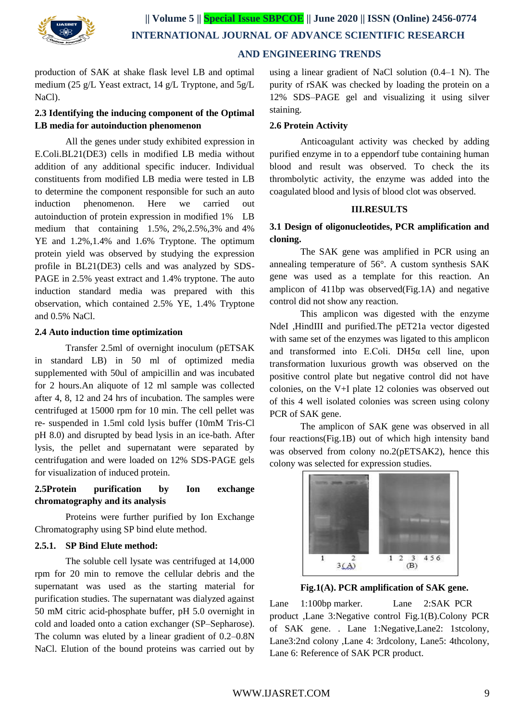

# **AND ENGINEERING TRENDS**

production of SAK at shake flask level LB and optimal medium (25 g/L Yeast extract, 14 g/L Tryptone, and 5g/L NaCl).

# **2.3 Identifying the inducing component of the Optimal LB media for autoinduction phenomenon**

All the genes under study exhibited expression in E.Coli.BL21(DE3) cells in modified LB media without addition of any additional specific inducer. Individual constituents from modified LB media were tested in LB to determine the component responsible for such an auto induction phenomenon. Here we carried out autoinduction of protein expression in modified 1% LB medium that containing 1.5%, 2%,2.5%,3% and 4% YE and 1.2%,1.4% and 1.6% Tryptone. The optimum protein yield was observed by studying the expression profile in BL21(DE3) cells and was analyzed by SDS-PAGE in 2.5% yeast extract and 1.4% tryptone. The auto induction standard media was prepared with this observation, which contained 2.5% YE, 1.4% Tryptone and 0.5% NaCl.

## **2.4 Auto induction time optimization**

Transfer 2.5ml of overnight inoculum (pETSAK in standard LB) in 50 ml of optimized media supplemented with 50ul of ampicillin and was incubated for 2 hours.An aliquote of 12 ml sample was collected after 4, 8, 12 and 24 hrs of incubation. The samples were centrifuged at 15000 rpm for 10 min. The cell pellet was re- suspended in 1.5ml cold lysis buffer (10mM Tris-Cl pH 8.0) and disrupted by bead lysis in an ice-bath. After lysis, the pellet and supernatant were separated by centrifugation and were loaded on 12% SDS-PAGE gels for visualization of induced protein.

# **2.5Protein purification by Ion exchange chromatography and its analysis**

Proteins were further purified by Ion Exchange Chromatography using SP bind elute method.

## **2.5.1. SP Bind Elute method:**

The soluble cell lysate was centrifuged at 14,000 rpm for 20 min to remove the cellular debris and the supernatant was used as the starting material for purification studies. The supernatant was dialyzed against 50 mM citric acid-phosphate buffer, pH 5.0 overnight in cold and loaded onto a cation exchanger (SP–Sepharose). The column was eluted by a linear gradient of 0.2–0.8N NaCl. Elution of the bound proteins was carried out by

using a linear gradient of NaCl solution (0.4–1 N). The purity of rSAK was checked by loading the protein on a 12% SDS–PAGE gel and visualizing it using silver staining.

## **2.6 Protein Activity**

Anticoagulant activity was checked by adding purified enzyme in to a eppendorf tube containing human blood and result was observed. To check the its thrombolytic activity, the enzyme was added into the coagulated blood and lysis of blood clot was observed.

#### **III.RESULTS**

## **3.1 Design of oligonucleotides, PCR amplification and cloning.**

The SAK gene was amplified in PCR using an annealing temperature of 56°. A custom synthesis SAK gene was used as a template for this reaction. An amplicon of 411bp was observed(Fig.1A) and negative control did not show any reaction.

This amplicon was digested with the enzyme NdeI ,HindIII and purified.The pET21a vector digested with same set of the enzymes was ligated to this amplicon and transformed into E.Coli. DH5α cell line, upon transformation luxurious growth was observed on the positive control plate but negative control did not have colonies, on the V+I plate 12 colonies was observed out of this 4 well isolated colonies was screen using colony PCR of SAK gene.

The amplicon of SAK gene was observed in all four reactions(Fig.1B) out of which high intensity band was observed from colony no.2(pETSAK2), hence this colony was selected for expression studies.



**Fig.1(A). PCR amplification of SAK gene.**

Lane 1:100bp marker. Lane 2:SAK PCR product ,Lane 3:Negative control Fig.1(B).Colony PCR of SAK gene. . Lane 1:Negative,Lane2: 1stcolony, Lane3:2nd colony ,Lane 4: 3rdcolony, Lane5: 4thcolony, Lane 6: Reference of SAK PCR product.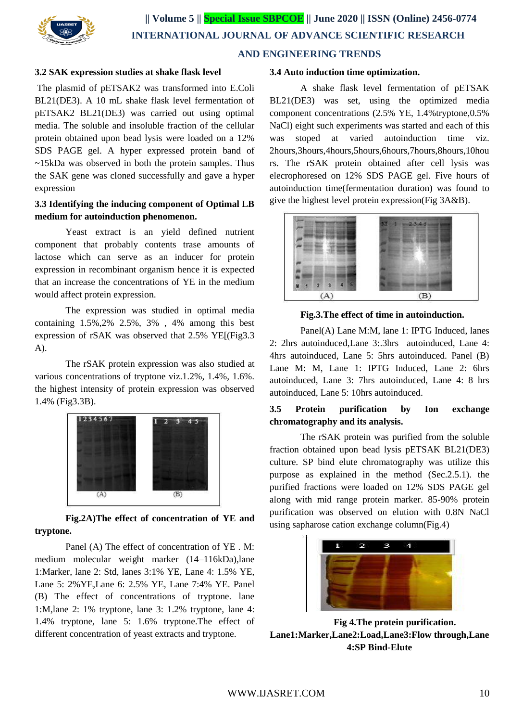

## **3.2 SAK expression studies at shake flask level**

The plasmid of pETSAK2 was transformed into E.Coli BL21(DE3). A 10 mL shake flask level fermentation of pETSAK2 BL21(DE3) was carried out using optimal media. The soluble and insoluble fraction of the cellular protein obtained upon bead lysis were loaded on a 12% SDS PAGE gel. A hyper expressed protein band of ~15kDa was observed in both the protein samples. Thus the SAK gene was cloned successfully and gave a hyper expression

# **3.3 Identifying the inducing component of Optimal LB medium for autoinduction phenomenon.**

Yeast extract is an yield defined nutrient component that probably contents trase amounts of lactose which can serve as an inducer for protein expression in recombinant organism hence it is expected that an increase the concentrations of YE in the medium would affect protein expression.

The expression was studied in optimal media containing 1.5%,2% 2.5%, 3% , 4% among this best expression of rSAK was observed that 2.5% YE[(Fig3.3 A).

The rSAK protein expression was also studied at various concentrations of tryptone viz.1.2%, 1.4%, 1.6%. the highest intensity of protein expression was observed 1.4% (Fig3.3B).



# **Fig.2A)The effect of concentration of YE and tryptone.**

Panel (A) The effect of concentration of YE . M: medium molecular weight marker (14–116kDa),lane 1:Marker, lane 2: Std, lanes 3:1% YE, Lane 4: 1.5% YE, Lane 5: 2%YE,Lane 6: 2.5% YE, Lane 7:4% YE. Panel (B) The effect of concentrations of tryptone. lane 1:M,lane 2: 1% tryptone, lane 3: 1.2% tryptone, lane 4: 1.4% tryptone, lane 5: 1.6% tryptone.The effect of different concentration of yeast extracts and tryptone.

#### **3.4 Auto induction time optimization.**

A shake flask level fermentation of pETSAK BL21(DE3) was set, using the optimized media component concentrations (2.5% YE, 1.4%tryptone,0.5% NaCl) eight such experiments was started and each of this was stoped at varied autoinduction time viz. 2hours,3hours,4hours,5hours,6hours,7hours,8hours,10hou rs. The rSAK protein obtained after cell lysis was elecrophoresed on 12% SDS PAGE gel. Five hours of autoinduction time(fermentation duration) was found to give the highest level protein expression(Fig 3A&B).



#### **Fig.3.The effect of time in autoinduction.**

Panel(A) Lane M:M, lane 1: IPTG Induced, lanes 2: 2hrs autoinduced,Lane 3:.3hrs autoinduced, Lane 4: 4hrs autoinduced, Lane 5: 5hrs autoinduced. Panel (B) Lane M: M, Lane 1: IPTG Induced, Lane 2: 6hrs autoinduced, Lane 3: 7hrs autoinduced, Lane 4: 8 hrs autoinduced, Lane 5: 10hrs autoinduced.

# **3.5 Protein purification by Ion exchange chromatography and its analysis.**

The rSAK protein was purified from the soluble fraction obtained upon bead lysis pETSAK BL21(DE3) culture. SP bind elute chromatography was utilize this purpose as explained in the method (Sec.2.5.1). the purified fractions were loaded on 12% SDS PAGE gel along with mid range protein marker. 85-90% protein purification was observed on elution with 0.8N NaCl using sapharose cation exchange column(Fig.4)



**Fig 4.The protein purification. Lane1:Marker,Lane2:Load,Lane3:Flow through,Lane 4:SP Bind-Elute**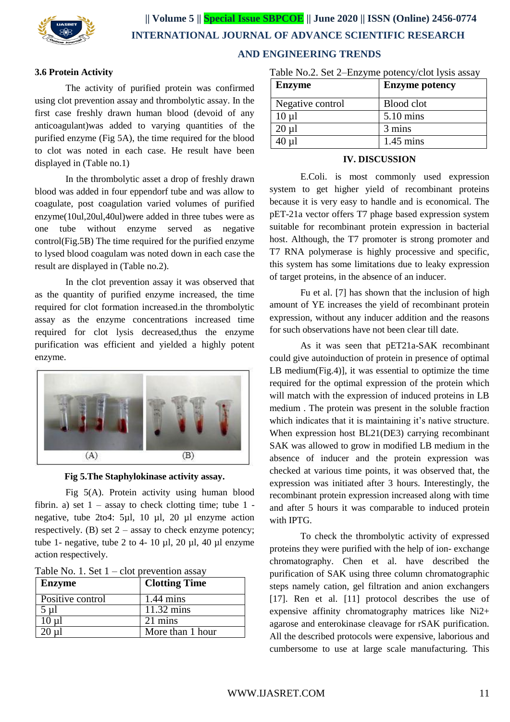

## **3.6 Protein Activity**

The activity of purified protein was confirmed using clot prevention assay and thrombolytic assay. In the first case freshly drawn human blood (devoid of any anticoagulant)was added to varying quantities of the purified enzyme (Fig 5A), the time required for the blood to clot was noted in each case. He result have been displayed in (Table no.1)

In the thrombolytic asset a drop of freshly drawn blood was added in four eppendorf tube and was allow to coagulate, post coagulation varied volumes of purified enzyme(10ul,20ul,40ul)were added in three tubes were as one tube without enzyme served as negative control(Fig.5B) The time required for the purified enzyme to lysed blood coagulam was noted down in each case the result are displayed in (Table no.2).

In the clot prevention assay it was observed that as the quantity of purified enzyme increased, the time required for clot formation increased.in the thrombolytic assay as the enzyme concentrations increased time required for clot lysis decreased,thus the enzyme purification was efficient and yielded a highly potent enzyme.



**Fig 5.The Staphylokinase activity assay.**

Fig 5(A). Protein activity using human blood fibrin. a) set  $1 -$  assay to check clotting time; tube  $1$ negative, tube 2to4: 5µl, 10 µl, 20 µl enzyme action respectively. (B) set  $2 -$  assay to check enzyme potency; tube 1- negative, tube 2 to 4- 10  $\mu$ l, 20  $\mu$ l, 40  $\mu$ l enzyme action respectively.

|  |  | Table No. 1. Set $1$ – clot prevention assay |
|--|--|----------------------------------------------|
|--|--|----------------------------------------------|

| Enzyme           | <b>Clotting Time</b> |
|------------------|----------------------|
| Positive control | $1.44 \text{ mins}$  |
| $5 \mu l$        | $11.32 \text{ mins}$ |
| $10 \mu$         | 21 mins              |
|                  | More than 1 hour     |

| <b>Enzyme</b>    | <b>Enzyme potency</b> |
|------------------|-----------------------|
| Negative control | Blood clot            |
| $10 \mu l$       | 5.10 mins             |
| $20 \mu l$       | 3 mins                |
| 40 µl            | $1.45$ mins           |

#### **IV. DISCUSSION**

E.Coli. is most commonly used expression system to get higher yield of recombinant proteins because it is very easy to handle and is economical. The pET-21a vector offers T7 phage based expression system suitable for recombinant protein expression in bacterial host. Although, the T7 promoter is strong promoter and T7 RNA polymerase is highly processive and specific, this system has some limitations due to leaky expression of target proteins, in the absence of an inducer.

Fu et al. [7] has shown that the inclusion of high amount of YE increases the yield of recombinant protein expression, without any inducer addition and the reasons for such observations have not been clear till date.

As it was seen that pET21a-SAK recombinant could give autoinduction of protein in presence of optimal LB medium(Fig.4)], it was essential to optimize the time required for the optimal expression of the protein which will match with the expression of induced proteins in LB medium . The protein was present in the soluble fraction which indicates that it is maintaining it's native structure. When expression host BL21(DE3) carrying recombinant SAK was allowed to grow in modified LB medium in the absence of inducer and the protein expression was checked at various time points, it was observed that, the expression was initiated after 3 hours. Interestingly, the recombinant protein expression increased along with time and after 5 hours it was comparable to induced protein with IPTG.

To check the thrombolytic activity of expressed proteins they were purified with the help of ion- exchange chromatography. Chen et al. have described the purification of SAK using three column chromatographic steps namely cation, gel filtration and anion exchangers [17]. Ren et al. [11] protocol describes the use of expensive affinity chromatography matrices like Ni2+ agarose and enterokinase cleavage for rSAK purification. All the described protocols were expensive, laborious and cumbersome to use at large scale manufacturing. This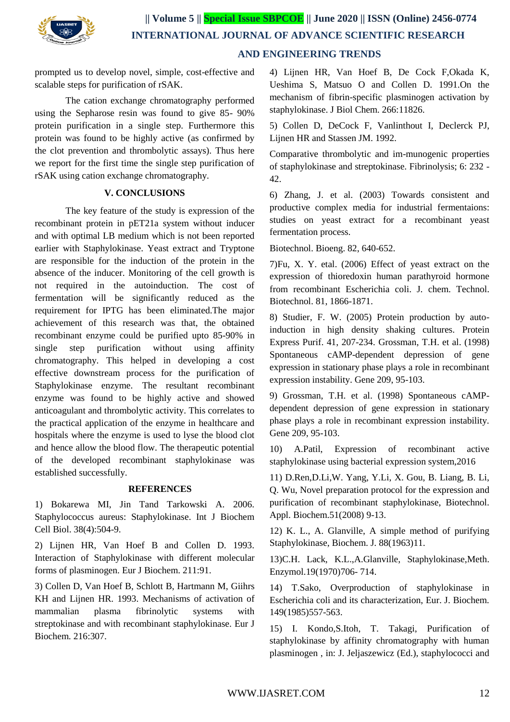

prompted us to develop novel, simple, cost-effective and scalable steps for purification of rSAK.

The cation exchange chromatography performed using the Sepharose resin was found to give 85- 90% protein purification in a single step. Furthermore this protein was found to be highly active (as confirmed by the clot prevention and thrombolytic assays). Thus here we report for the first time the single step purification of rSAK using cation exchange chromatography.

## **V. CONCLUSIONS**

The key feature of the study is expression of the recombinant protein in pET21a system without inducer and with optimal LB medium which is not been reported earlier with Staphylokinase. Yeast extract and Tryptone are responsible for the induction of the protein in the absence of the inducer. Monitoring of the cell growth is not required in the autoinduction. The cost of fermentation will be significantly reduced as the requirement for IPTG has been eliminated.The major achievement of this research was that, the obtained recombinant enzyme could be purified upto 85-90% in single step purification without using affinity chromatography. This helped in developing a cost effective downstream process for the purification of Staphylokinase enzyme. The resultant recombinant enzyme was found to be highly active and showed anticoagulant and thrombolytic activity. This correlates to the practical application of the enzyme in healthcare and hospitals where the enzyme is used to lyse the blood clot and hence allow the blood flow. The therapeutic potential of the developed recombinant staphylokinase was established successfully.

## **REFERENCES**

1) Bokarewa MI, Jin Tand Tarkowski A. 2006. Staphylococcus aureus: Staphylokinase. Int J Biochem Cell Biol. 38(4):504-9.

2) Lijnen HR, Van Hoef B and Collen D. 1993. Interaction of Staphylokinase with different molecular forms of plasminogen. Eur J Biochem. 211:91.

3) Collen D, Van Hoef B, Schlott B, Hartmann M, Giihrs KH and Lijnen HR. 1993. Mechanisms of activation of mammalian plasma fibrinolytic systems with streptokinase and with recombinant staphylokinase. Eur J Biochem. 216:307.

4) Lijnen HR, Van Hoef B, De Cock F,Okada K, Ueshima S, Matsuo O and Collen D. 1991.On the mechanism of fibrin-specific plasminogen activation by staphylokinase. J Biol Chem. 266:11826.

5) Collen D, DeCock F, Vanlinthout I, Declerck PJ, Lijnen HR and Stassen JM. 1992.

Comparative thrombolytic and im-munogenic properties of staphylokinase and streptokinase. Fibrinolysis; 6: 232 - 42.

6) Zhang, J. et al. (2003) Towards consistent and productive complex media for industrial fermentaions: studies on yeast extract for a recombinant yeast fermentation process.

Biotechnol. Bioeng. 82, 640-652.

7)Fu, X. Y. etal. (2006) Effect of yeast extract on the expression of thioredoxin human parathyroid hormone from recombinant Escherichia coli. J. chem. Technol. Biotechnol. 81, 1866-1871.

8) Studier, F. W. (2005) Protein production by autoinduction in high density shaking cultures. Protein Express Purif. 41, 207-234. Grossman, T.H. et al. (1998) Spontaneous cAMP-dependent depression of gene expression in stationary phase plays a role in recombinant expression instability. Gene 209, 95-103.

9) Grossman, T.H. et al. (1998) Spontaneous cAMPdependent depression of gene expression in stationary phase plays a role in recombinant expression instability. Gene 209, 95-103.

10) A.Patil, Expression of recombinant active staphylokinase using bacterial expression system,2016

11) D.Ren,D.Li,W. Yang, Y.Li, X. Gou, B. Liang, B. Li, Q. Wu, Novel preparation protocol for the expression and purification of recombinant staphylokinase, Biotechnol. Appl. Biochem.51(2008) 9-13.

12) K. L., A. Glanville, A simple method of purifying Staphylokinase, Biochem. J. 88(1963)11.

13)C.H. Lack, K.L.,A.Glanville, Staphylokinase,Meth. Enzymol.19(1970)706- 714.

14) T.Sako, Overproduction of staphylokinase in Escherichia coli and its characterization, Eur. J. Biochem. 149(1985)557-563.

15) I. Kondo,S.Itoh, T. Takagi, Purification of staphylokinase by affinity chromatography with human plasminogen , in: J. Jeljaszewicz (Ed.), staphylococci and